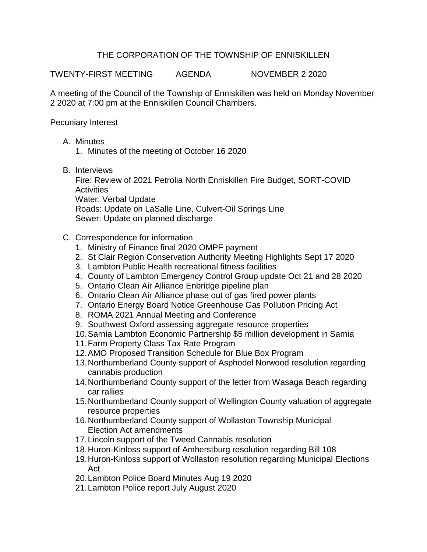## THE CORPORATION OF THE TOWNSHIP OF ENNISKILLEN

TWENTY-FIRST MEETING AGENDA NOVEMBER 2 2020

A meeting of the Council of the Township of Enniskillen was held on Monday November 2 2020 at 7:00 pm at the Enniskillen Council Chambers.

Pecuniary Interest

- A. Minutes
	- 1. Minutes of the meeting of October 16 2020
- B. Interviews

Fire: Review of 2021 Petrolia North Enniskillen Fire Budget, SORT-COVID **Activities** Water: Verbal Update Roads: Update on LaSalle Line, Culvert-Oil Springs Line Sewer: Update on planned discharge

- C. Correspondence for information
	- 1. Ministry of Finance final 2020 OMPF payment
	- 2. St Clair Region Conservation Authority Meeting Highlights Sept 17 2020
	- 3. Lambton Public Health recreational fitness facilities
	- 4. County of Lambton Emergency Control Group update Oct 21 and 28 2020
	- 5. Ontario Clean Air Alliance Enbridge pipeline plan
	- 6. Ontario Clean Air Alliance phase out of gas fired power plants
	- 7. Ontario Energy Board Notice Greenhouse Gas Pollution Pricing Act
	- 8. ROMA 2021 Annual Meeting and Conference
	- 9. Southwest Oxford assessing aggregate resource properties
	- 10.Sarnia Lambton Economic Partnership \$5 million development in Sarnia
	- 11.Farm Property Class Tax Rate Program
	- 12.AMO Proposed Transition Schedule for Blue Box Program
	- 13.Northumberland County support of Asphodel Norwood resolution regarding cannabis production
	- 14.Northumberland County support of the letter from Wasaga Beach regarding car rallies
	- 15.Northumberland County support of Wellington County valuation of aggregate resource properties
	- 16.Northumberland County support of Wollaston Township Municipal Election Act amendments
	- 17.Lincoln support of the Tweed Cannabis resolution
	- 18.Huron-Kinloss support of Amherstburg resolution regarding Bill 108
	- 19.Huron-Kinloss support of Wollaston resolution regarding Municipal Elections Act
	- 20.Lambton Police Board Minutes Aug 19 2020
	- 21.Lambton Police report July August 2020